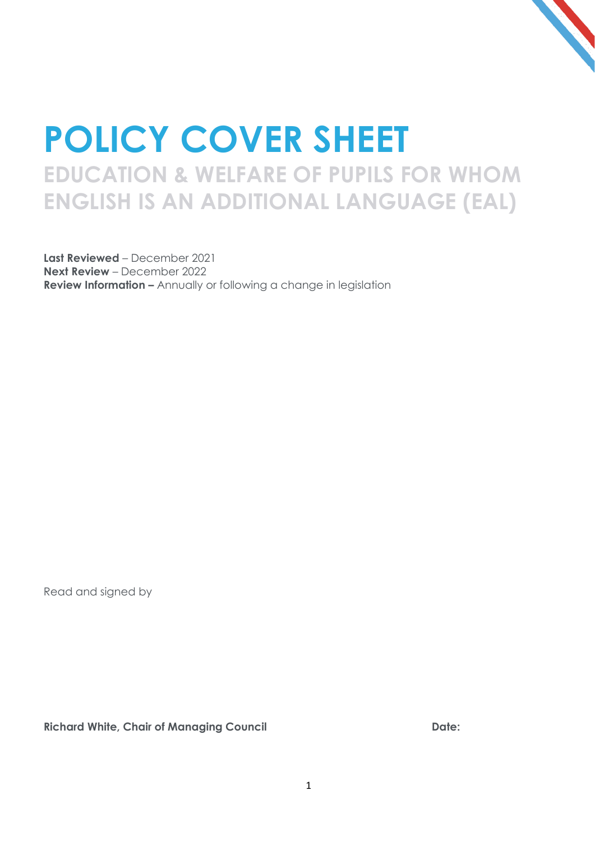

## **POLICY COVER SHEET EDUCATION & WELFARE OF PUPILS FOR WHOM ENGLISH IS AN ADDITIONAL LANGUAGE (EAL)**

**Last Reviewed** – December 2021 **Next Review** – December 2022 **Review Information –** Annually or following a change in legislation

Read and signed by

**Richard White, Chair of Managing Council Date:**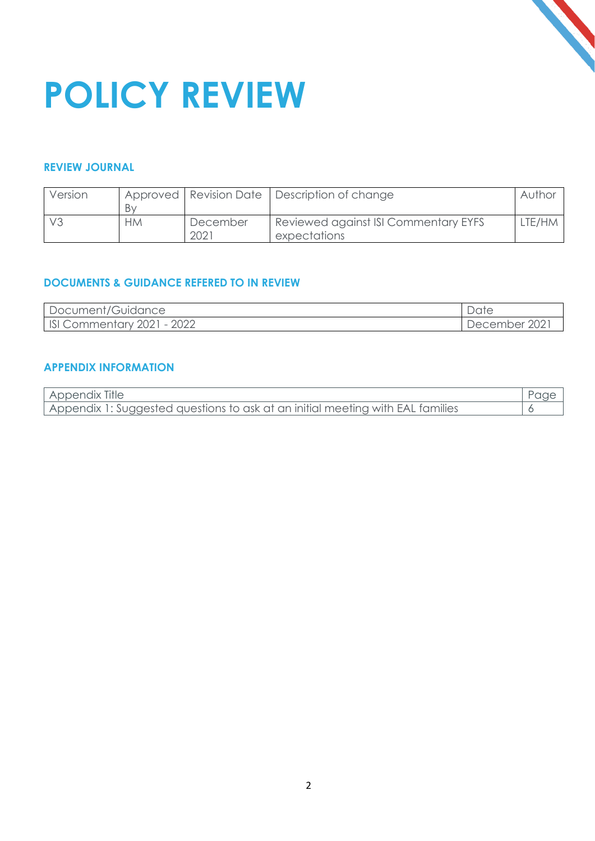

# **POLICY REVIEW**

#### **REVIEW JOURNAL**

| Version |           |          | Approved   Revision Date   Description of change | Author |
|---------|-----------|----------|--------------------------------------------------|--------|
|         | Bv        |          |                                                  |        |
|         | <b>HM</b> | December | Reviewed against ISI Commentary EYFS             | LTE/HM |
|         |           | 202i     | expectations                                     |        |

#### **DOCUMENTS & GUIDANCE REFERED TO IN REVIEW**

| Document/Guidance              | Date          |
|--------------------------------|---------------|
| ISIC<br>Commentary 2021 - 2022 | December 2021 |

#### **APPENDIX INFORMATION**

| Appendix Title                                                                 |  |
|--------------------------------------------------------------------------------|--|
| Appendix 1: Suggested questions to ask at an initial meeting with EAL families |  |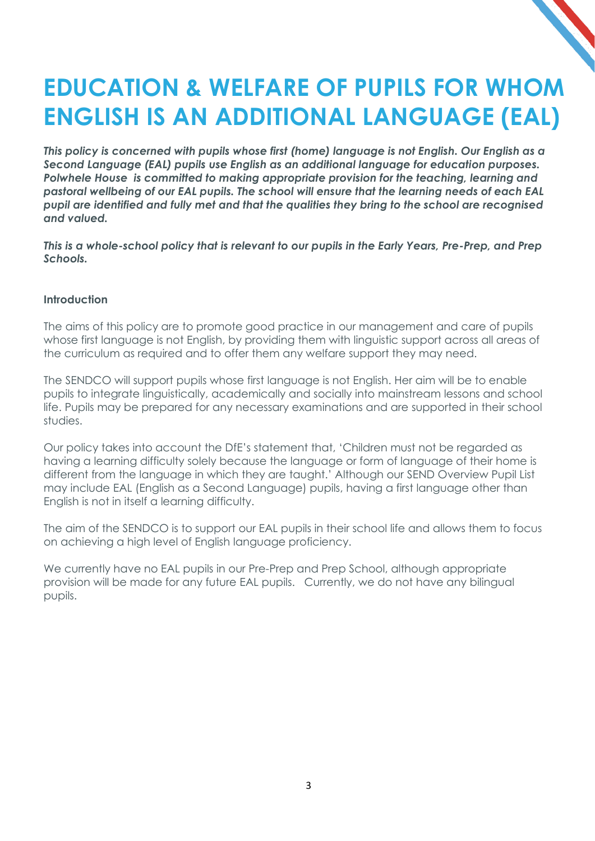### **EDUCATION & WELFARE OF PUPILS FOR WHOM ENGLISH IS AN ADDITIONAL LANGUAGE (EAL)**

*This policy is concerned with pupils whose first (home) language is not English. Our English as a Second Language (EAL) pupils use English as an additional language for education purposes. Polwhele House is committed to making appropriate provision for the teaching, learning and pastoral wellbeing of our EAL pupils. The school will ensure that the learning needs of each EAL pupil are identified and fully met and that the qualities they bring to the school are recognised and valued.* 

*This is a whole-school policy that is relevant to our pupils in the Early Years, Pre-Prep, and Prep Schools.*

#### **Introduction**

The aims of this policy are to promote good practice in our management and care of pupils whose first language is not English, by providing them with linguistic support across all areas of the curriculum as required and to offer them any welfare support they may need.

The SENDCO will support pupils whose first language is not English. Her aim will be to enable pupils to integrate linguistically, academically and socially into mainstream lessons and school life. Pupils may be prepared for any necessary examinations and are supported in their school studies.

Our policy takes into account the DfE's statement that, 'Children must not be regarded as having a learning difficulty solely because the language or form of language of their home is different from the language in which they are taught.' Although our SEND Overview Pupil List may include EAL (English as a Second Language) pupils, having a first language other than English is not in itself a learning difficulty.

The aim of the SENDCO is to support our EAL pupils in their school life and allows them to focus on achieving a high level of English language proficiency.

We currently have no EAL pupils in our Pre-Prep and Prep School, although appropriate provision will be made for any future EAL pupils. Currently, we do not have any bilingual pupils.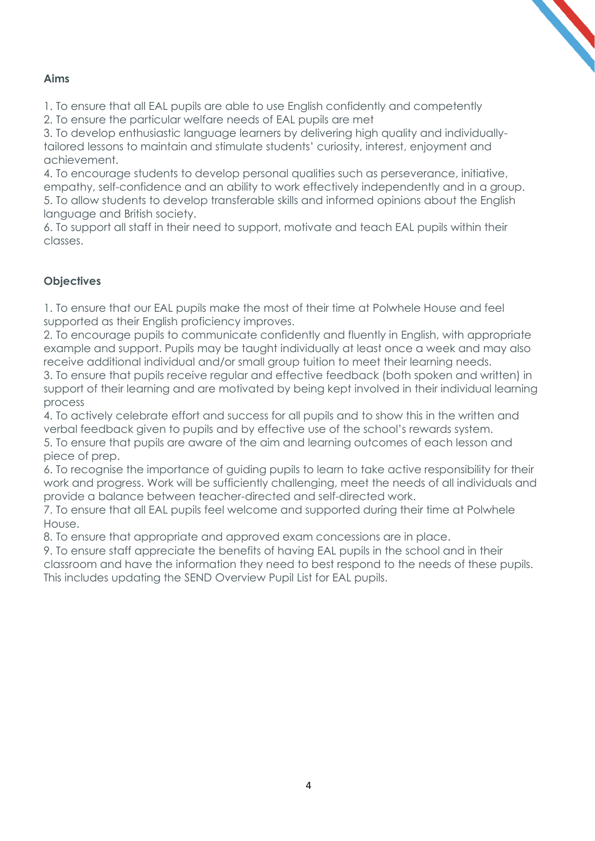#### **Aims**

1. To ensure that all EAL pupils are able to use English confidently and competently

2. To ensure the particular welfare needs of EAL pupils are met

3. To develop enthusiastic language learners by delivering high quality and individuallytailored lessons to maintain and stimulate students' curiosity, interest, enjoyment and achievement.

4. To encourage students to develop personal qualities such as perseverance, initiative, empathy, self-confidence and an ability to work effectively independently and in a group. 5. To allow students to develop transferable skills and informed opinions about the English language and British society.

6. To support all staff in their need to support, motivate and teach EAL pupils within their classes.

#### **Objectives**

1. To ensure that our EAL pupils make the most of their time at Polwhele House and feel supported as their English proficiency improves.

2. To encourage pupils to communicate confidently and fluently in English, with appropriate example and support. Pupils may be taught individually at least once a week and may also receive additional individual and/or small group tuition to meet their learning needs.

3. To ensure that pupils receive regular and effective feedback (both spoken and written) in support of their learning and are motivated by being kept involved in their individual learning process

4. To actively celebrate effort and success for all pupils and to show this in the written and verbal feedback given to pupils and by effective use of the school's rewards system.

5. To ensure that pupils are aware of the aim and learning outcomes of each lesson and piece of prep.

6. To recognise the importance of guiding pupils to learn to take active responsibility for their work and progress. Work will be sufficiently challenging, meet the needs of all individuals and provide a balance between teacher-directed and self-directed work.

7. To ensure that all EAL pupils feel welcome and supported during their time at Polwhele House.

8. To ensure that appropriate and approved exam concessions are in place.

9. To ensure staff appreciate the benefits of having EAL pupils in the school and in their classroom and have the information they need to best respond to the needs of these pupils. This includes updating the SEND Overview Pupil List for EAL pupils.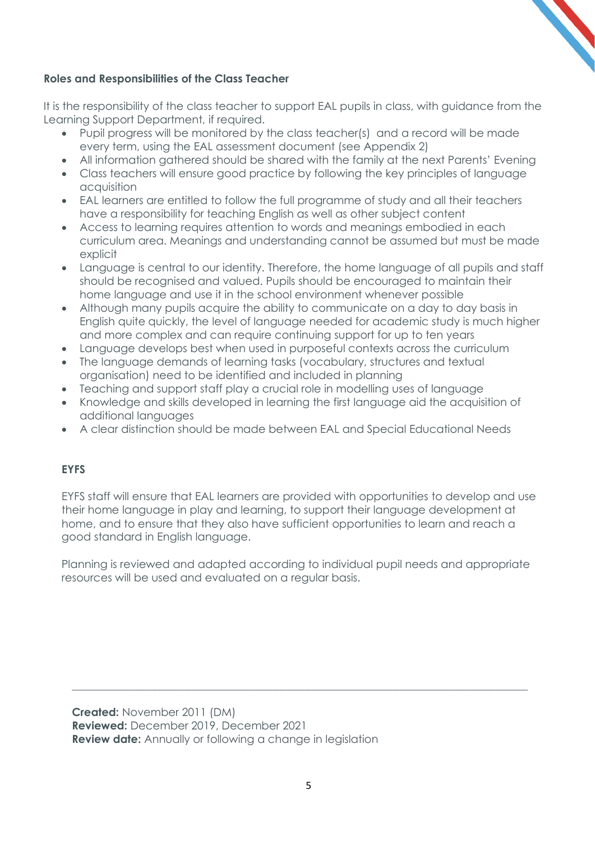

#### **Roles and Responsibilities of the Class Teacher**

It is the responsibility of the class teacher to support EAL pupils in class, with guidance from the Learning Support Department, if required.

- Pupil progress will be monitored by the class teacher(s) and a record will be made every term, using the EAL assessment document (see Appendix 2)
- All information gathered should be shared with the family at the next Parents' Evening
- Class teachers will ensure good practice by following the key principles of language acquisition
- EAL learners are entitled to follow the full programme of study and all their teachers have a responsibility for teaching English as well as other subject content
- Access to learning requires attention to words and meanings embodied in each curriculum area. Meanings and understanding cannot be assumed but must be made explicit
- Language is central to our identity. Therefore, the home language of all pupils and staff should be recognised and valued. Pupils should be encouraged to maintain their home language and use it in the school environment whenever possible
- Although many pupils acquire the ability to communicate on a day to day basis in English quite quickly, the level of language needed for academic study is much higher and more complex and can require continuing support for up to ten years
- Language develops best when used in purposeful contexts across the curriculum
- The language demands of learning tasks (vocabulary, structures and textual organisation) need to be identified and included in planning
- Teaching and support staff play a crucial role in modelling uses of language
- Knowledge and skills developed in learning the first language aid the acquisition of additional languages
- A clear distinction should be made between EAL and Special Educational Needs

#### **EYFS**

EYFS staff will ensure that EAL learners are provided with opportunities to develop and use their home language in play and learning, to support their language development at home, and to ensure that they also have sufficient opportunities to learn and reach a good standard in English language.

Planning is reviewed and adapted according to individual pupil needs and appropriate resources will be used and evaluated on a regular basis.

\_\_\_\_\_\_\_\_\_\_\_\_\_\_\_\_\_\_\_\_\_\_\_\_\_\_\_\_\_\_\_\_\_\_\_\_\_\_\_\_\_\_\_\_\_\_\_\_\_\_\_\_\_\_\_\_\_\_\_\_\_\_\_\_\_\_\_\_\_\_\_\_\_\_\_\_\_\_\_\_\_\_\_

**Created:** November 2011 (DM) **Reviewed:** December 2019, December 2021 **Review date:** Annually or following a change in legislation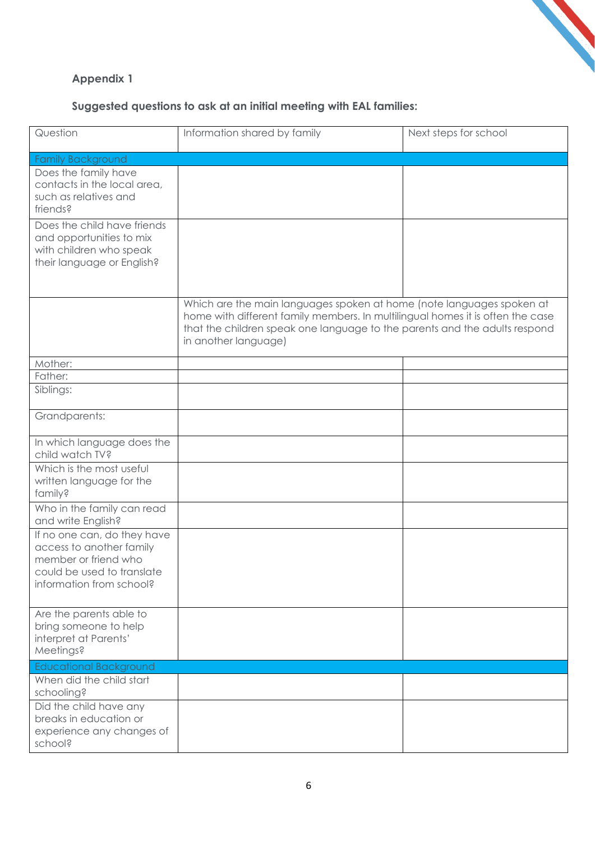

#### **Appendix 1**

#### **Suggested questions to ask at an initial meeting with EAL families:**

| Question                                                                                                                                  | Information shared by family                                                                                                                                                                                                                                  | Next steps for school |
|-------------------------------------------------------------------------------------------------------------------------------------------|---------------------------------------------------------------------------------------------------------------------------------------------------------------------------------------------------------------------------------------------------------------|-----------------------|
| <b>Family Background</b>                                                                                                                  |                                                                                                                                                                                                                                                               |                       |
| Does the family have<br>contacts in the local area,<br>such as relatives and<br>friends?                                                  |                                                                                                                                                                                                                                                               |                       |
| Does the child have friends<br>and opportunities to mix<br>with children who speak<br>their language or English?                          |                                                                                                                                                                                                                                                               |                       |
|                                                                                                                                           | Which are the main languages spoken at home (note languages spoken at<br>home with different family members. In multilingual homes it is often the case<br>that the children speak one language to the parents and the adults respond<br>in another language) |                       |
| Mother:                                                                                                                                   |                                                                                                                                                                                                                                                               |                       |
| Father:                                                                                                                                   |                                                                                                                                                                                                                                                               |                       |
| Siblings:                                                                                                                                 |                                                                                                                                                                                                                                                               |                       |
| Grandparents:                                                                                                                             |                                                                                                                                                                                                                                                               |                       |
| In which language does the<br>child watch TV?                                                                                             |                                                                                                                                                                                                                                                               |                       |
| Which is the most useful<br>written language for the<br>family?                                                                           |                                                                                                                                                                                                                                                               |                       |
| Who in the family can read<br>and write English?                                                                                          |                                                                                                                                                                                                                                                               |                       |
| If no one can, do they have<br>access to another family<br>member or friend who<br>could be used to translate<br>information from school? |                                                                                                                                                                                                                                                               |                       |
| Are the parents able to<br>bring someone to help<br>interpret at Parents'<br>Meetings?                                                    |                                                                                                                                                                                                                                                               |                       |
| <b>Educational Background</b>                                                                                                             |                                                                                                                                                                                                                                                               |                       |
| When did the child start<br>schooling?                                                                                                    |                                                                                                                                                                                                                                                               |                       |
| Did the child have any<br>breaks in education or<br>experience any changes of<br>school?                                                  |                                                                                                                                                                                                                                                               |                       |